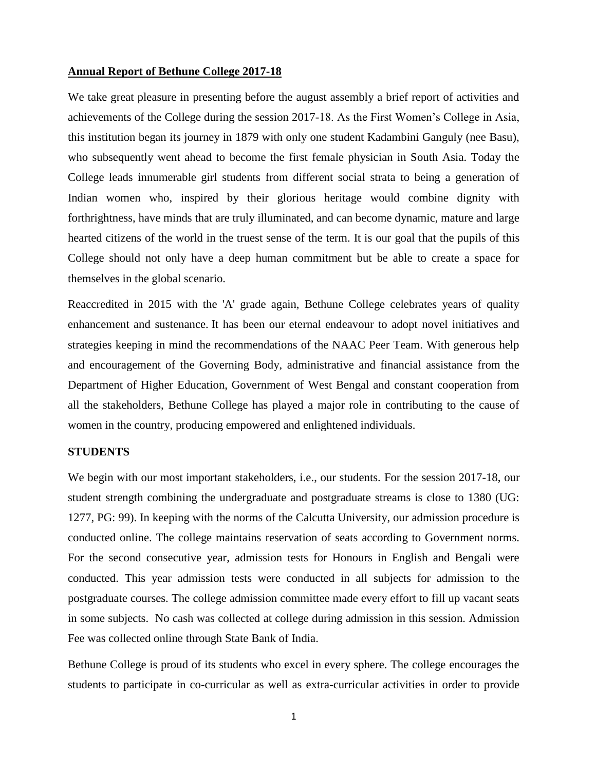### **Annual Report of Bethune College 2017-18**

We take great pleasure in presenting before the august assembly a brief report of activities and achievements of the College during the session 2017-18. As the First Women's College in Asia, this institution began its journey in 1879 with only one student Kadambini Ganguly (nee Basu), who subsequently went ahead to become the first female physician in South Asia. Today the College leads innumerable girl students from different social strata to being a generation of Indian women who, inspired by their glorious heritage would combine dignity with forthrightness, have minds that are truly illuminated, and can become dynamic, mature and large hearted citizens of the world in the truest sense of the term. It is our goal that the pupils of this College should not only have a deep human commitment but be able to create a space for themselves in the global scenario.

Reaccredited in 2015 with the 'A' grade again, Bethune College celebrates years of quality enhancement and sustenance. It has been our eternal endeavour to adopt novel initiatives and strategies keeping in mind the recommendations of the NAAC Peer Team. With generous help and encouragement of the Governing Body, administrative and financial assistance from the Department of Higher Education, Government of West Bengal and constant cooperation from all the stakeholders, Bethune College has played a major role in contributing to the cause of women in the country, producing empowered and enlightened individuals.

# **STUDENTS**

We begin with our most important stakeholders, i.e., our students. For the session 2017-18, our student strength combining the undergraduate and postgraduate streams is close to 1380 (UG: 1277, PG: 99). In keeping with the norms of the Calcutta University, our admission procedure is conducted online. The college maintains reservation of seats according to Government norms. For the second consecutive year, admission tests for Honours in English and Bengali were conducted. This year admission tests were conducted in all subjects for admission to the postgraduate courses. The college admission committee made every effort to fill up vacant seats in some subjects. No cash was collected at college during admission in this session. Admission Fee was collected online through State Bank of India.

Bethune College is proud of its students who excel in every sphere. The college encourages the students to participate in co-curricular as well as extra-curricular activities in order to provide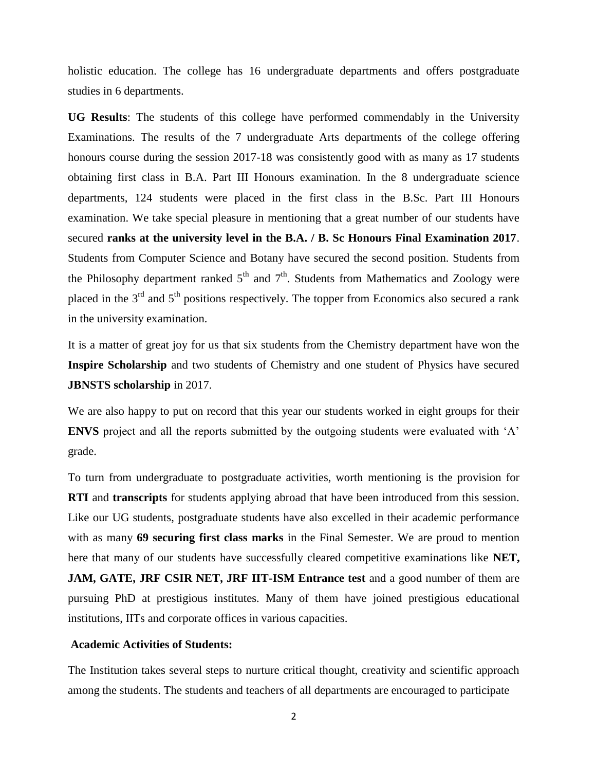holistic education. The college has 16 undergraduate departments and offers postgraduate studies in 6 departments.

**UG Results**: The students of this college have performed commendably in the University Examinations. The results of the 7 undergraduate Arts departments of the college offering honours course during the session 2017-18 was consistently good with as many as 17 students obtaining first class in B.A. Part III Honours examination. In the 8 undergraduate science departments, 124 students were placed in the first class in the B.Sc. Part III Honours examination. We take special pleasure in mentioning that a great number of our students have secured **ranks at the university level in the B.A. / B. Sc Honours Final Examination 2017**. Students from Computer Science and Botany have secured the second position. Students from the Philosophy department ranked  $5<sup>th</sup>$  and  $7<sup>th</sup>$ . Students from Mathematics and Zoology were placed in the 3<sup>rd</sup> and 5<sup>th</sup> positions respectively. The topper from Economics also secured a rank in the university examination.

It is a matter of great joy for us that six students from the Chemistry department have won the **Inspire Scholarship** and two students of Chemistry and one student of Physics have secured **JBNSTS scholarship** in 2017.

We are also happy to put on record that this year our students worked in eight groups for their **ENVS** project and all the reports submitted by the outgoing students were evaluated with 'A' grade.

To turn from undergraduate to postgraduate activities, worth mentioning is the provision for **RTI** and **transcripts** for students applying abroad that have been introduced from this session. Like our UG students, postgraduate students have also excelled in their academic performance with as many **69 securing first class marks** in the Final Semester. We are proud to mention here that many of our students have successfully cleared competitive examinations like **NET, JAM, GATE, JRF CSIR NET, JRF IIT-ISM Entrance test** and a good number of them are pursuing PhD at prestigious institutes. Many of them have joined prestigious educational institutions, IITs and corporate offices in various capacities.

# **Academic Activities of Students:**

The Institution takes several steps to nurture critical thought, creativity and scientific approach among the students. The students and teachers of all departments are encouraged to participate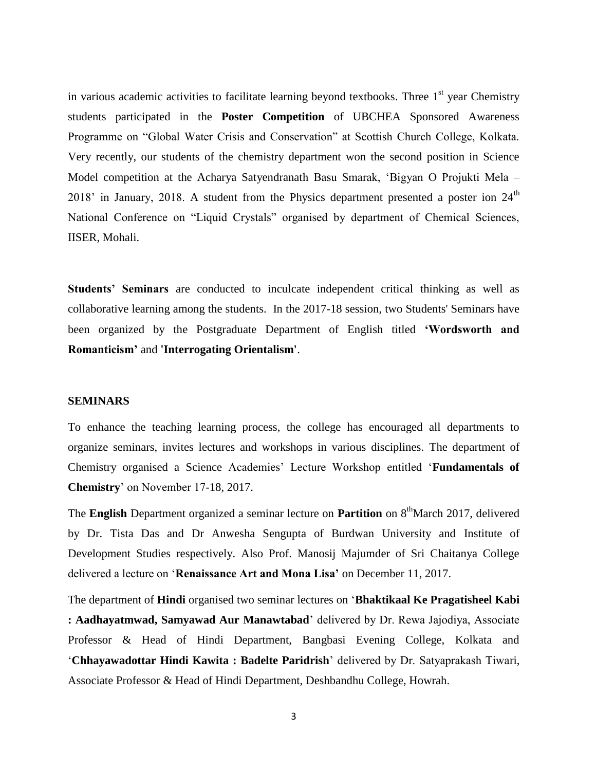in various academic activities to facilitate learning beyond textbooks. Three  $1<sup>st</sup>$  year Chemistry students participated in the **Poster Competition** of UBCHEA Sponsored Awareness Programme on "Global Water Crisis and Conservation" at Scottish Church College, Kolkata. Very recently, our students of the chemistry department won the second position in Science Model competition at the Acharya Satyendranath Basu Smarak, 'Bigyan O Projukti Mela – 2018' in January, 2018. A student from the Physics department presented a poster ion  $24<sup>th</sup>$ National Conference on "Liquid Crystals" organised by department of Chemical Sciences, IISER, Mohali.

**Students' Seminars** are conducted to inculcate independent critical thinking as well as collaborative learning among the students. In the 2017-18 session, two Students' Seminars have been organized by the Postgraduate Department of English titled **'Wordsworth and Romanticism'** and **'Interrogating Orientalism'**.

## **SEMINARS**

To enhance the teaching learning process, the college has encouraged all departments to organize seminars, invites lectures and workshops in various disciplines. The department of Chemistry organised a Science Academies' Lecture Workshop entitled '**Fundamentals of Chemistry**' on November 17-18, 2017.

The **English** Department organized a seminar lecture on **Partition** on 8<sup>th</sup>March 2017, delivered by Dr. Tista Das and Dr Anwesha Sengupta of Burdwan University and Institute of Development Studies respectively. Also Prof. Manosij Majumder of Sri Chaitanya College delivered a lecture on '**Renaissance Art and Mona Lisa'** on December 11, 2017.

The department of **Hindi** organised two seminar lectures on '**Bhaktikaal Ke Pragatisheel Kabi : Aadhayatmwad, Samyawad Aur Manawtabad**' delivered by Dr. Rewa Jajodiya, Associate Professor & Head of Hindi Department, Bangbasi Evening College, Kolkata and '**Chhayawadottar Hindi Kawita : Badelte Paridrish**' delivered by Dr. Satyaprakash Tiwari, Associate Professor & Head of Hindi Department, Deshbandhu College, Howrah.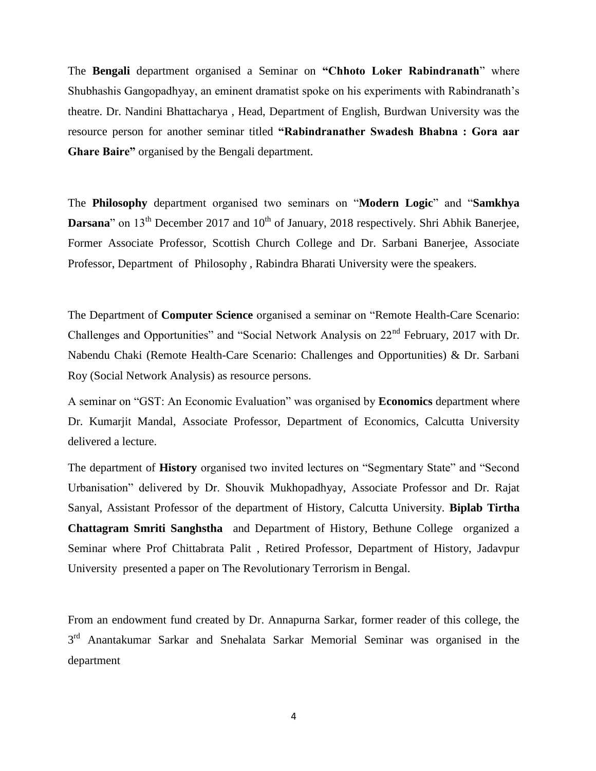The **Bengali** department organised a Seminar on **"Chhoto Loker Rabindranath**" where Shubhashis Gangopadhyay, an eminent dramatist spoke on his experiments with Rabindranath's theatre. Dr. Nandini Bhattacharya , Head, Department of English, Burdwan University was the resource person for another seminar titled **"Rabindranather Swadesh Bhabna : Gora aar Ghare Baire"** organised by the Bengali department.

The **Philosophy** department organised two seminars on "**Modern Logic**" and "**Samkhya Darsana**" on  $13<sup>th</sup>$  December 2017 and  $10<sup>th</sup>$  of January, 2018 respectively. Shri Abhik Banerjee, Former Associate Professor, Scottish Church College and Dr. Sarbani Banerjee, Associate Professor, Department of Philosophy , Rabindra Bharati University were the speakers.

The Department of **Computer Science** organised a seminar on "Remote Health-Care Scenario: Challenges and Opportunities" and "Social Network Analysis on 22nd February, 2017 with Dr. Nabendu Chaki (Remote Health-Care Scenario: Challenges and Opportunities) & Dr. Sarbani Roy (Social Network Analysis) as resource persons.

A seminar on "GST: An Economic Evaluation" was organised by **Economics** department where Dr. Kumarjit Mandal, Associate Professor, Department of Economics, Calcutta University delivered a lecture.

The department of **History** organised two invited lectures on "Segmentary State" and "Second Urbanisation" delivered by Dr. Shouvik Mukhopadhyay, Associate Professor and Dr. Rajat Sanyal, Assistant Professor of the department of History, Calcutta University. **Biplab Tirtha Chattagram Smriti Sanghstha** and Department of History, Bethune College organized a Seminar where Prof Chittabrata Palit , Retired Professor, Department of History, Jadavpur University presented a paper on The Revolutionary Terrorism in Bengal.

From an endowment fund created by Dr. Annapurna Sarkar, former reader of this college, the 3<sup>rd</sup> Anantakumar Sarkar and Snehalata Sarkar Memorial Seminar was organised in the department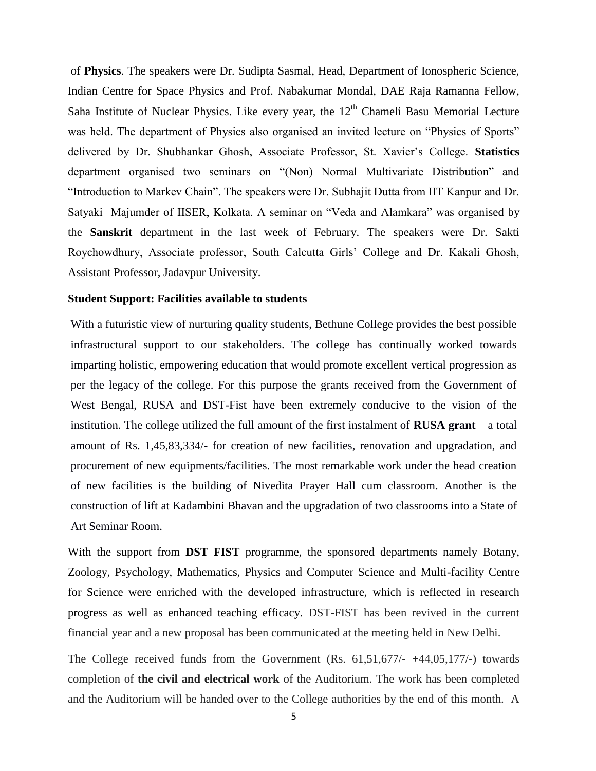of **Physics**. The speakers were Dr. Sudipta Sasmal, Head, Department of Ionospheric Science, Indian Centre for Space Physics and Prof. Nabakumar Mondal, DAE Raja Ramanna Fellow, Saha Institute of Nuclear Physics. Like every year, the  $12<sup>th</sup>$  Chameli Basu Memorial Lecture was held. The department of Physics also organised an invited lecture on "Physics of Sports" delivered by Dr. Shubhankar Ghosh, Associate Professor, St. Xavier's College. **Statistics**  department organised two seminars on "(Non) Normal Multivariate Distribution" and "Introduction to Markev Chain". The speakers were Dr. Subhajit Dutta from IIT Kanpur and Dr. Satyaki Majumder of IISER, Kolkata. A seminar on "Veda and Alamkara" was organised by the **Sanskrit** department in the last week of February. The speakers were Dr. Sakti Roychowdhury, Associate professor, South Calcutta Girls' College and Dr. Kakali Ghosh, Assistant Professor, Jadavpur University.

## **Student Support: Facilities available to students**

With a futuristic view of nurturing quality students, Bethune College provides the best possible infrastructural support to our stakeholders. The college has continually worked towards imparting holistic, empowering education that would promote excellent vertical progression as per the legacy of the college. For this purpose the grants received from the Government of West Bengal, RUSA and DST-Fist have been extremely conducive to the vision of the institution. The college utilized the full amount of the first instalment of **RUSA grant** – a total amount of Rs. 1,45,83,334/- for creation of new facilities, renovation and upgradation, and procurement of new equipments/facilities. The most remarkable work under the head creation of new facilities is the building of Nivedita Prayer Hall cum classroom. Another is the construction of lift at Kadambini Bhavan and the upgradation of two classrooms into a State of Art Seminar Room.

With the support from **DST FIST** programme, the sponsored departments namely Botany, Zoology, Psychology, Mathematics, Physics and Computer Science and Multi-facility Centre for Science were enriched with the developed infrastructure, which is reflected in research progress as well as enhanced teaching efficacy. DST-FIST has been revived in the current financial year and a new proposal has been communicated at the meeting held in New Delhi.

The College received funds from the Government (Rs. 61,51,677/- +44,05,177/-) towards completion of **the civil and electrical work** of the Auditorium. The work has been completed and the Auditorium will be handed over to the College authorities by the end of this month. A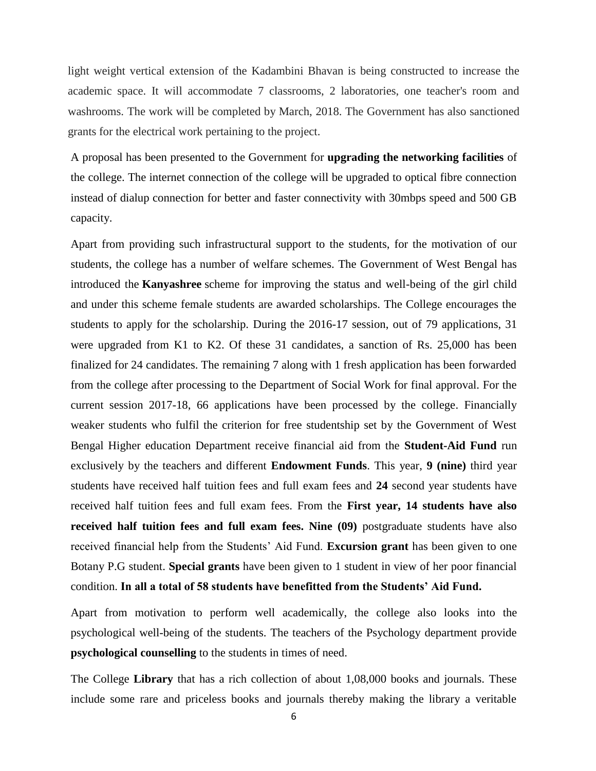light weight vertical extension of the Kadambini Bhavan is being constructed to increase the academic space. It will accommodate 7 classrooms, 2 laboratories, one teacher's room and washrooms. The work will be completed by March, 2018. The Government has also sanctioned grants for the electrical work pertaining to the project.

A proposal has been presented to the Government for **upgrading the networking facilities** of the college. The internet connection of the college will be upgraded to optical fibre connection instead of dialup connection for better and faster connectivity with 30mbps speed and 500 GB capacity.

Apart from providing such infrastructural support to the students, for the motivation of our students, the college has a number of welfare schemes. The Government of West Bengal has introduced the **Kanyashree** scheme for improving the status and well-being of the girl child and under this scheme female students are awarded scholarships. The College encourages the students to apply for the scholarship. During the 2016-17 session, out of 79 applications, 31 were upgraded from K1 to K2. Of these 31 candidates, a sanction of Rs. 25,000 has been finalized for 24 candidates. The remaining 7 along with 1 fresh application has been forwarded from the college after processing to the Department of Social Work for final approval. For the current session 2017-18, 66 applications have been processed by the college. Financially weaker students who fulfil the criterion for free studentship set by the Government of West Bengal Higher education Department receive financial aid from the **Student-Aid Fund** run exclusively by the teachers and different **Endowment Funds**. This year, **9 (nine)** third year students have received half tuition fees and full exam fees and **24** second year students have received half tuition fees and full exam fees. From the **First year, 14 students have also received half tuition fees and full exam fees. Nine (09)** postgraduate students have also received financial help from the Students' Aid Fund. **Excursion grant** has been given to one Botany P.G student. **Special grants** have been given to 1 student in view of her poor financial condition. **In all a total of 58 students have benefitted from the Students' Aid Fund.**

Apart from motivation to perform well academically, the college also looks into the psychological well-being of the students. The teachers of the Psychology department provide **psychological counselling** to the students in times of need.

The College **Library** that has a rich collection of about 1,08,000 books and journals. These include some rare and priceless books and journals thereby making the library a veritable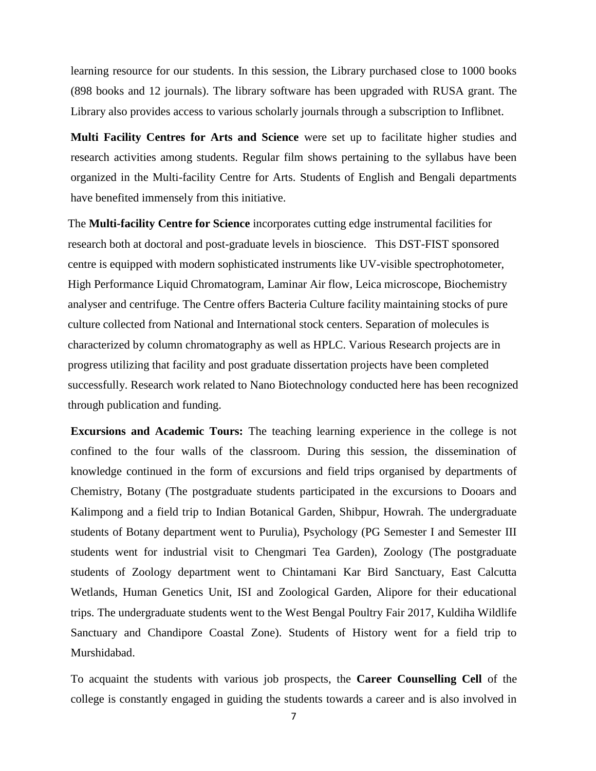learning resource for our students. In this session, the Library purchased close to 1000 books (898 books and 12 journals). The library software has been upgraded with RUSA grant. The Library also provides access to various scholarly journals through a subscription to Inflibnet.

**Multi Facility Centres for Arts and Science** were set up to facilitate higher studies and research activities among students. Regular film shows pertaining to the syllabus have been organized in the Multi-facility Centre for Arts. Students of English and Bengali departments have benefited immensely from this initiative.

The **Multi-facility Centre for Science** incorporates cutting edge instrumental facilities for research both at doctoral and post-graduate levels in bioscience. This DST-FIST sponsored centre is equipped with modern sophisticated instruments like UV-visible spectrophotometer, High Performance Liquid Chromatogram, Laminar Air flow, Leica microscope, Biochemistry analyser and centrifuge. The Centre offers Bacteria Culture facility maintaining stocks of pure culture collected from National and International stock centers. Separation of molecules is characterized by column chromatography as well as HPLC. Various Research projects are in progress utilizing that facility and post graduate dissertation projects have been completed successfully. Research work related to Nano Biotechnology conducted here has been recognized through publication and funding.

**Excursions and Academic Tours:** The teaching learning experience in the college is not confined to the four walls of the classroom. During this session, the dissemination of knowledge continued in the form of excursions and field trips organised by departments of Chemistry, Botany (The postgraduate students participated in the excursions to Dooars and Kalimpong and a field trip to Indian Botanical Garden, Shibpur, Howrah. The undergraduate students of Botany department went to Purulia), Psychology (PG Semester I and Semester III students went for industrial visit to Chengmari Tea Garden), Zoology (The postgraduate students of Zoology department went to Chintamani Kar Bird Sanctuary, East Calcutta Wetlands, Human Genetics Unit, ISI and Zoological Garden, Alipore for their educational trips. The undergraduate students went to the West Bengal Poultry Fair 2017, Kuldiha Wildlife Sanctuary and Chandipore Coastal Zone). Students of History went for a field trip to Murshidabad.

To acquaint the students with various job prospects, the **Career Counselling Cell** of the college is constantly engaged in guiding the students towards a career and is also involved in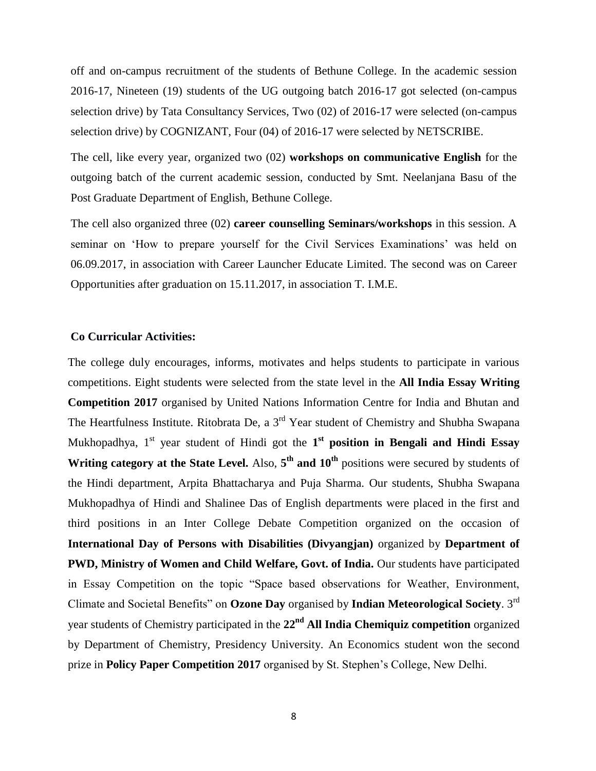off and on-campus recruitment of the students of Bethune College. In the academic session 2016-17, Nineteen (19) students of the UG outgoing batch 2016-17 got selected (on-campus selection drive) by Tata Consultancy Services, Two (02) of 2016-17 were selected (on-campus selection drive) by COGNIZANT, Four (04) of 2016-17 were selected by NETSCRIBE.

The cell, like every year, organized two (02) **workshops on communicative English** for the outgoing batch of the current academic session, conducted by Smt. Neelanjana Basu of the Post Graduate Department of English, Bethune College.

The cell also organized three (02) **career counselling Seminars/workshops** in this session. A seminar on 'How to prepare yourself for the Civil Services Examinations' was held on 06.09.2017, in association with Career Launcher Educate Limited. The second was on Career Opportunities after graduation on 15.11.2017, in association T. I.M.E.

# **Co Curricular Activities:**

The college duly encourages, informs, motivates and helps students to participate in various competitions. Eight students were selected from the state level in the **All India Essay Writing Competition 2017** organised by United Nations Information Centre for India and Bhutan and The Heartfulness Institute. Ritobrata De, a 3<sup>rd</sup> Year student of Chemistry and Shubha Swapana Mukhopadhya, 1<sup>st</sup> year student of Hindi got the 1<sup>st</sup> position in Bengali and Hindi Essay Writing category at the State Level. Also,  $5<sup>th</sup>$  and  $10<sup>th</sup>$  positions were secured by students of the Hindi department, Arpita Bhattacharya and Puja Sharma. Our students, Shubha Swapana Mukhopadhya of Hindi and Shalinee Das of English departments were placed in the first and third positions in an Inter College Debate Competition organized on the occasion of **International Day of Persons with Disabilities (Divyangjan)** organized by **Department of PWD, Ministry of Women and Child Welfare, Govt. of India.** Our students have participated in Essay Competition on the topic "Space based observations for Weather, Environment, Climate and Societal Benefits" on **Ozone Day** organised by **Indian Meteorological Society**. 3rd year students of Chemistry participated in the **22nd All India Chemiquiz competition** organized by Department of Chemistry, Presidency University. An Economics student won the second prize in **Policy Paper Competition 2017** organised by St. Stephen's College, New Delhi.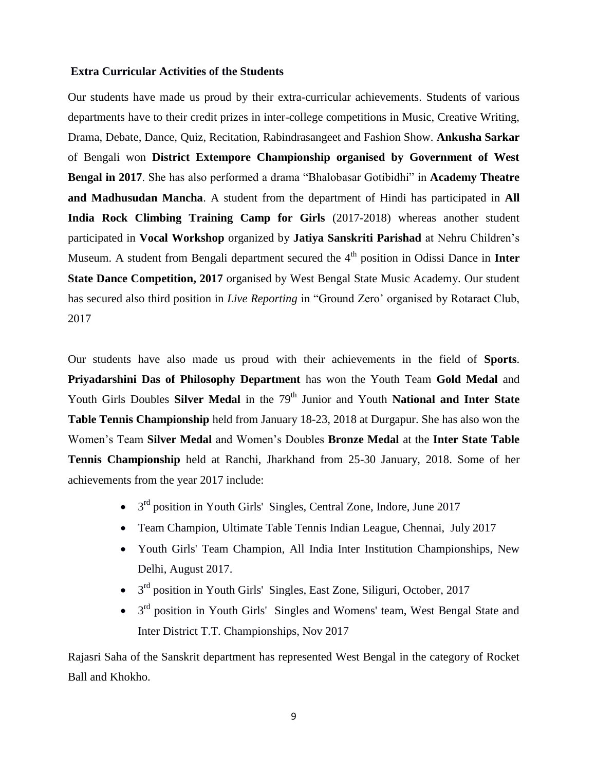## **Extra Curricular Activities of the Students**

Our students have made us proud by their extra-curricular achievements. Students of various departments have to their credit prizes in inter-college competitions in Music, Creative Writing, Drama, Debate, Dance, Quiz, Recitation, Rabindrasangeet and Fashion Show. **Ankusha Sarkar**  of Bengali won **District Extempore Championship organised by Government of West Bengal in 2017**. She has also performed a drama "Bhalobasar Gotibidhi" in **Academy Theatre and Madhusudan Mancha**. A student from the department of Hindi has participated in **All India Rock Climbing Training Camp for Girls** (2017-2018) whereas another student participated in **Vocal Workshop** organized by **Jatiya Sanskriti Parishad** at Nehru Children's Museum. A student from Bengali department secured the 4<sup>th</sup> position in Odissi Dance in **Inter State Dance Competition, 2017** organised by West Bengal State Music Academy. Our student has secured also third position in *Live Reporting* in "Ground Zero' organised by Rotaract Club, 2017

Our students have also made us proud with their achievements in the field of **Sports**. **Priyadarshini Das of Philosophy Department** has won the Youth Team **Gold Medal** and Youth Girls Doubles **Silver Medal** in the 79<sup>th</sup> Junior and Youth **National and Inter State Table Tennis Championship** held from January 18-23, 2018 at Durgapur. She has also won the Women's Team **Silver Medal** and Women's Doubles **Bronze Medal** at the **Inter State Table Tennis Championship** held at Ranchi, Jharkhand from 25-30 January, 2018. Some of her achievements from the year 2017 include:

- $\bullet$  3<sup>rd</sup> position in Youth Girls' Singles, Central Zone, Indore, June 2017
- Team Champion, Ultimate Table Tennis Indian League, Chennai, July 2017
- Youth Girls' Team Champion, All India Inter Institution Championships, New Delhi, August 2017.
- $\bullet$  3<sup>rd</sup> position in Youth Girls' Singles, East Zone, Siliguri, October, 2017
- $3<sup>rd</sup>$  position in Youth Girls' Singles and Womens' team, West Bengal State and Inter District T.T. Championships, Nov 2017

Rajasri Saha of the Sanskrit department has represented West Bengal in the category of Rocket Ball and Khokho.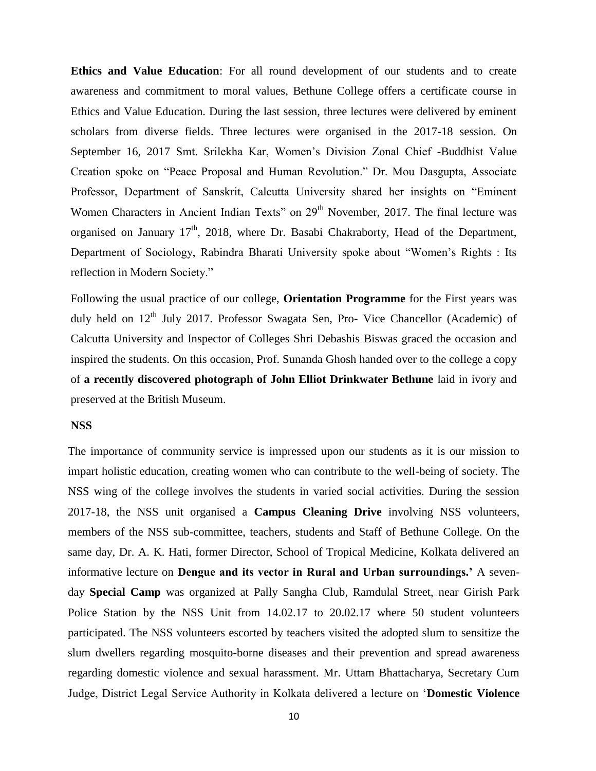**Ethics and Value Education**: For all round development of our students and to create awareness and commitment to moral values, Bethune College offers a certificate course in Ethics and Value Education. During the last session, three lectures were delivered by eminent scholars from diverse fields. Three lectures were organised in the 2017-18 session. On September 16, 2017 Smt. Srilekha Kar, Women's Division Zonal Chief -Buddhist Value Creation spoke on "Peace Proposal and Human Revolution." Dr. Mou Dasgupta, Associate Professor, Department of Sanskrit, Calcutta University shared her insights on "Eminent Women Characters in Ancient Indian Texts" on 29<sup>th</sup> November, 2017. The final lecture was organised on January  $17<sup>th</sup>$ , 2018, where Dr. Basabi Chakraborty, Head of the Department, Department of Sociology, Rabindra Bharati University spoke about "Women's Rights : Its reflection in Modern Society."

Following the usual practice of our college, **Orientation Programme** for the First years was duly held on 12<sup>th</sup> July 2017. Professor Swagata Sen, Pro- Vice Chancellor (Academic) of Calcutta University and Inspector of Colleges Shri Debashis Biswas graced the occasion and inspired the students. On this occasion, Prof. Sunanda Ghosh handed over to the college a copy of **a recently discovered photograph of John Elliot Drinkwater Bethune** laid in ivory and preserved at the British Museum.

### **NSS**

The importance of community service is impressed upon our students as it is our mission to impart holistic education, creating women who can contribute to the well-being of society. The NSS wing of the college involves the students in varied social activities. During the session 2017-18, the NSS unit organised a **Campus Cleaning Drive** involving NSS volunteers, members of the NSS sub-committee, teachers, students and Staff of Bethune College. On the same day, Dr. A. K. Hati, former Director, School of Tropical Medicine, Kolkata delivered an informative lecture on **Dengue and its vector in Rural and Urban surroundings.'** A sevenday **Special Camp** was organized at Pally Sangha Club, Ramdulal Street, near Girish Park Police Station by the NSS Unit from 14.02.17 to 20.02.17 where 50 student volunteers participated. The NSS volunteers escorted by teachers visited the adopted slum to sensitize the slum dwellers regarding mosquito-borne diseases and their prevention and spread awareness regarding domestic violence and sexual harassment. Mr. Uttam Bhattacharya, Secretary Cum Judge, District Legal Service Authority in Kolkata delivered a lecture on '**Domestic Violence**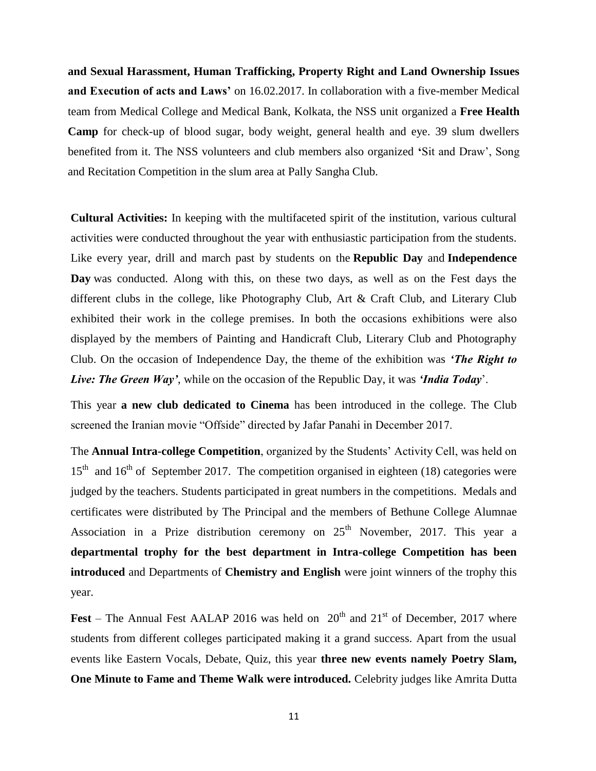**and Sexual Harassment, Human Trafficking, Property Right and Land Ownership Issues**  and Execution of acts and Laws' on 16.02.2017. In collaboration with a five-member Medical team from Medical College and Medical Bank, Kolkata, the NSS unit organized a **Free Health Camp** for check-up of blood sugar, body weight, general health and eye. 39 slum dwellers benefited from it. The NSS volunteers and club members also organized **'**Sit and Draw', Song and Recitation Competition in the slum area at Pally Sangha Club.

**Cultural Activities:** In keeping with the multifaceted spirit of the institution, various cultural activities were conducted throughout the year with enthusiastic participation from the students. Like every year, drill and march past by students on the **Republic Day** and **Independence Day** was conducted. Along with this, on these two days, as well as on the Fest days the different clubs in the college, like Photography Club, Art & Craft Club, and Literary Club exhibited their work in the college premises. In both the occasions exhibitions were also displayed by the members of Painting and Handicraft Club, Literary Club and Photography Club. On the occasion of Independence Day, the theme of the exhibition was *'The Right to Live: The Green Way'*, while on the occasion of the Republic Day, it was *'India Today*'.

This year **a new club dedicated to Cinema** has been introduced in the college. The Club screened the Iranian movie "Offside" directed by Jafar Panahi in December 2017.

The **Annual Intra-college Competition**, organized by the Students' Activity Cell, was held on  $15<sup>th</sup>$  and  $16<sup>th</sup>$  of September 2017. The competition organised in eighteen (18) categories were judged by the teachers. Students participated in great numbers in the competitions. Medals and certificates were distributed by The Principal and the members of Bethune College Alumnae Association in a Prize distribution ceremony on  $25<sup>th</sup>$  November, 2017. This year a **departmental trophy for the best department in Intra-college Competition has been introduced** and Departments of **Chemistry and English** were joint winners of the trophy this year.

**Fest** – The Annual Fest AALAP 2016 was held on  $20<sup>th</sup>$  and  $21<sup>st</sup>$  of December, 2017 where students from different colleges participated making it a grand success. Apart from the usual events like Eastern Vocals, Debate, Quiz, this year **three new events namely Poetry Slam, One Minute to Fame and Theme Walk were introduced.** Celebrity judges like Amrita Dutta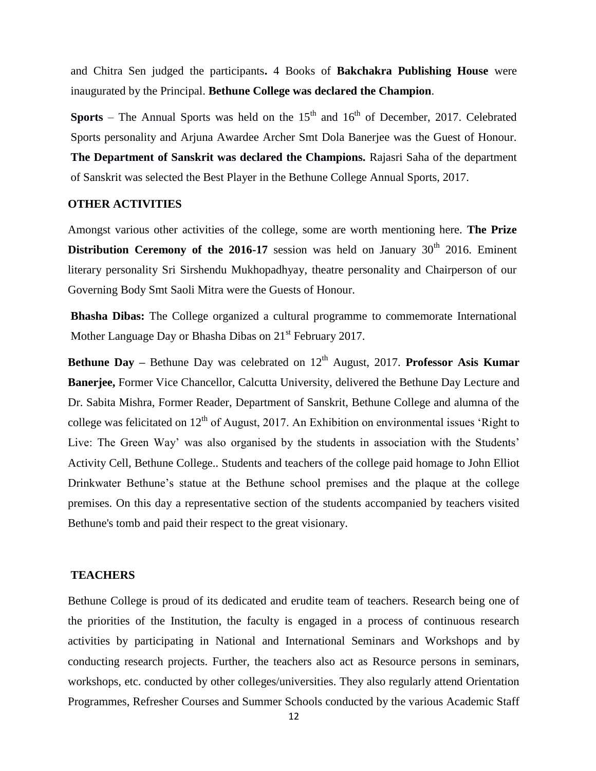and Chitra Sen judged the participants**.** 4 Books of **Bakchakra Publishing House** were inaugurated by the Principal. **Bethune College was declared the Champion**.

**Sports** – The Annual Sports was held on the  $15<sup>th</sup>$  and  $16<sup>th</sup>$  of December, 2017. Celebrated Sports personality and Arjuna Awardee Archer Smt Dola Banerjee was the Guest of Honour. **The Department of Sanskrit was declared the Champions.** Rajasri Saha of the department of Sanskrit was selected the Best Player in the Bethune College Annual Sports, 2017.

# **OTHER ACTIVITIES**

Amongst various other activities of the college, some are worth mentioning here. **The Prize Distribution Ceremony of the 2016-17** session was held on January  $30<sup>th</sup>$  2016. Eminent literary personality Sri Sirshendu Mukhopadhyay, theatre personality and Chairperson of our Governing Body Smt Saoli Mitra were the Guests of Honour.

**Bhasha Dibas:** The College organized a cultural programme to commemorate International Mother Language Day or Bhasha Dibas on 21<sup>st</sup> February 2017.

**Bethune Day –** Bethune Day was celebrated on 12<sup>th</sup> August, 2017. **Professor Asis Kumar Banerjee,** Former Vice Chancellor, Calcutta University, delivered the Bethune Day Lecture and Dr. Sabita Mishra, Former Reader, Department of Sanskrit, Bethune College and alumna of the college was felicitated on  $12<sup>th</sup>$  of August, 2017. An Exhibition on environmental issues 'Right to Live: The Green Way' was also organised by the students in association with the Students' Activity Cell, Bethune College.. Students and teachers of the college paid homage to John Elliot Drinkwater Bethune's statue at the Bethune school premises and the plaque at the college premises. On this day a representative section of the students accompanied by teachers visited Bethune's tomb and paid their respect to the great visionary.

# **TEACHERS**

Bethune College is proud of its dedicated and erudite team of teachers. Research being one of the priorities of the Institution, the faculty is engaged in a process of continuous research activities by participating in National and International Seminars and Workshops and by conducting research projects. Further, the teachers also act as Resource persons in seminars, workshops, etc. conducted by other colleges/universities. They also regularly attend Orientation Programmes, Refresher Courses and Summer Schools conducted by the various Academic Staff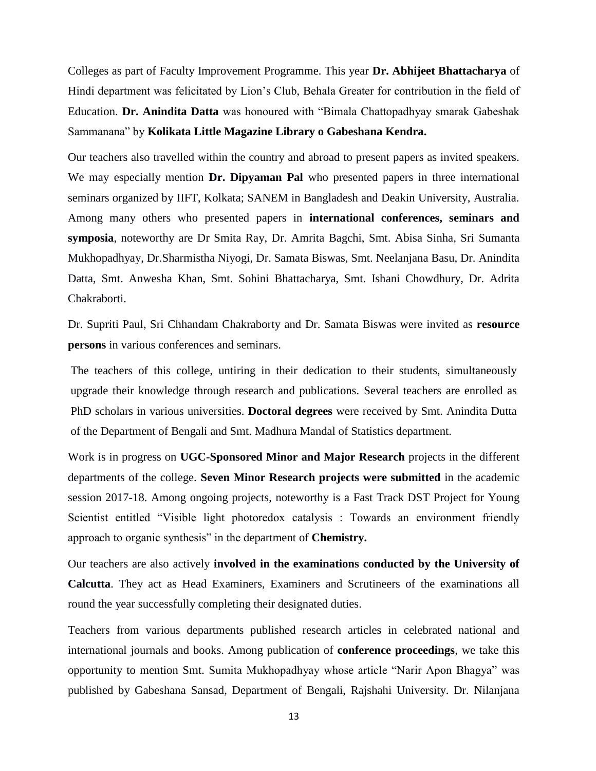Colleges as part of Faculty Improvement Programme. This year **Dr. Abhijeet Bhattacharya** of Hindi department was felicitated by Lion's Club, Behala Greater for contribution in the field of Education. **Dr. Anindita Datta** was honoured with "Bimala Chattopadhyay smarak Gabeshak Sammanana" by **Kolikata Little Magazine Library o Gabeshana Kendra.**

Our teachers also travelled within the country and abroad to present papers as invited speakers. We may especially mention **Dr. Dipyaman Pal** who presented papers in three international seminars organized by IIFT, Kolkata; SANEM in Bangladesh and Deakin University, Australia. Among many others who presented papers in **international conferences, seminars and symposia**, noteworthy are Dr Smita Ray, Dr. Amrita Bagchi, Smt. Abisa Sinha, Sri Sumanta Mukhopadhyay, Dr.Sharmistha Niyogi, Dr. Samata Biswas, Smt. Neelanjana Basu, Dr. Anindita Datta, Smt. Anwesha Khan, Smt. Sohini Bhattacharya, Smt. Ishani Chowdhury, Dr. Adrita Chakraborti.

Dr. Supriti Paul, Sri Chhandam Chakraborty and Dr. Samata Biswas were invited as **resource persons** in various conferences and seminars.

The teachers of this college, untiring in their dedication to their students, simultaneously upgrade their knowledge through research and publications. Several teachers are enrolled as PhD scholars in various universities. **Doctoral degrees** were received by Smt. Anindita Dutta of the Department of Bengali and Smt. Madhura Mandal of Statistics department.

Work is in progress on **UGC-Sponsored Minor and Major Research** projects in the different departments of the college. **Seven Minor Research projects were submitted** in the academic session 2017-18. Among ongoing projects, noteworthy is a Fast Track DST Project for Young Scientist entitled "Visible light photoredox catalysis : Towards an environment friendly approach to organic synthesis" in the department of **Chemistry.**

Our teachers are also actively **involved in the examinations conducted by the University of Calcutta**. They act as Head Examiners, Examiners and Scrutineers of the examinations all round the year successfully completing their designated duties.

Teachers from various departments published research articles in celebrated national and international journals and books. Among publication of **conference proceedings**, we take this opportunity to mention Smt. Sumita Mukhopadhyay whose article "Narir Apon Bhagya" was published by Gabeshana Sansad, Department of Bengali, Rajshahi University. Dr. Nilanjana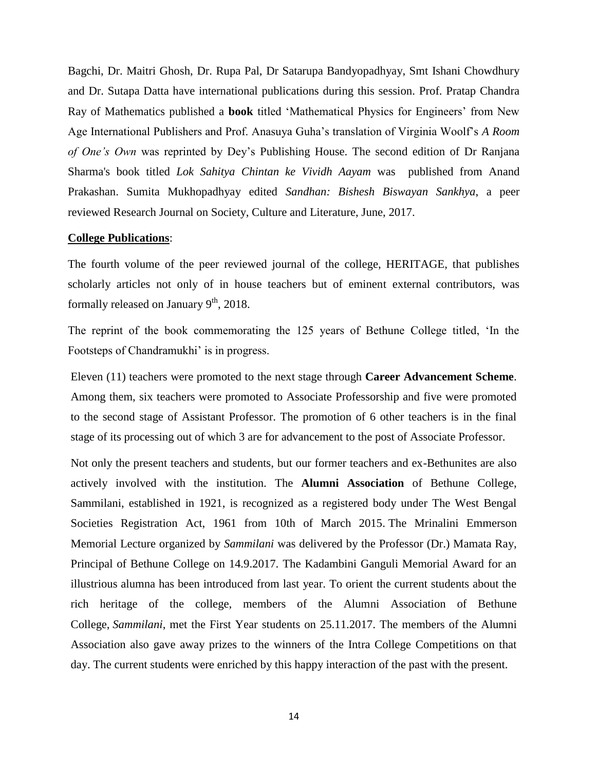Bagchi, Dr. Maitri Ghosh, Dr. Rupa Pal, Dr Satarupa Bandyopadhyay, Smt Ishani Chowdhury and Dr. Sutapa Datta have international publications during this session. Prof. Pratap Chandra Ray of Mathematics published a **book** titled 'Mathematical Physics for Engineers' from New Age International Publishers and Prof. Anasuya Guha's translation of Virginia Woolf's *A Room of One's Own* was reprinted by Dey's Publishing House. The second edition of Dr Ranjana Sharma's book titled *Lok Sahitya Chintan ke Vividh Aayam* was published from Anand Prakashan. Sumita Mukhopadhyay edited *Sandhan: Bishesh Biswayan Sankhya*, a peer reviewed Research Journal on Society, Culture and Literature, June, 2017.

### **College Publications**:

The fourth volume of the peer reviewed journal of the college, HERITAGE, that publishes scholarly articles not only of in house teachers but of eminent external contributors, was formally released on January 9<sup>th</sup>, 2018.

The reprint of the book commemorating the 125 years of Bethune College titled, 'In the Footsteps of Chandramukhi' is in progress.

Eleven (11) teachers were promoted to the next stage through **Career Advancement Scheme**. Among them, six teachers were promoted to Associate Professorship and five were promoted to the second stage of Assistant Professor. The promotion of 6 other teachers is in the final stage of its processing out of which 3 are for advancement to the post of Associate Professor.

Not only the present teachers and students, but our former teachers and ex-Bethunites are also actively involved with the institution. The **Alumni Association** of Bethune College, Sammilani, established in 1921, is recognized as a registered body under The West Bengal Societies Registration Act, 1961 from 10th of March 2015. The Mrinalini Emmerson Memorial Lecture organized by *Sammilani* was delivered by the Professor (Dr.) Mamata Ray, Principal of Bethune College on 14.9.2017. The Kadambini Ganguli Memorial Award for an illustrious alumna has been introduced from last year. To orient the current students about the rich heritage of the college, members of the Alumni Association of Bethune College, *Sammilani*, met the First Year students on 25.11.2017. The members of the Alumni Association also gave away prizes to the winners of the Intra College Competitions on that day. The current students were enriched by this happy interaction of the past with the present.